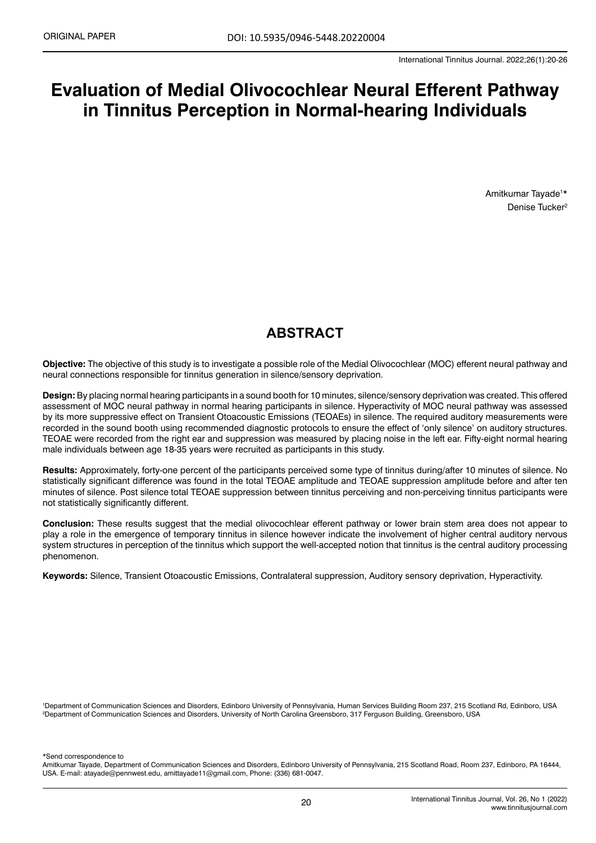# **Evaluation of Medial Olivocochlear Neural Efferent Pathway in Tinnitus Perception in Normal-hearing Individuals**

Amitkumar Tayade1 \* Denise Tucker2

# **ABSTRACT**

**Objective:** The objective of this study is to investigate a possible role of the Medial Olivocochlear (MOC) efferent neural pathway and neural connections responsible for tinnitus generation in silence/sensory deprivation.

**Design:** By placing normal hearing participants in a sound booth for 10 minutes, silence/sensory deprivation was created. This offered assessment of MOC neural pathway in normal hearing participants in silence. Hyperactivity of MOC neural pathway was assessed by its more suppressive effect on Transient Otoacoustic Emissions (TEOAEs) in silence. The required auditory measurements were recorded in the sound booth using recommended diagnostic protocols to ensure the effect of 'only silence' on auditory structures. TEOAE were recorded from the right ear and suppression was measured by placing noise in the left ear. Fifty-eight normal hearing male individuals between age 18-35 years were recruited as participants in this study.

**Results:** Approximately, forty-one percent of the participants perceived some type of tinnitus during/after 10 minutes of silence. No statistically significant difference was found in the total TEOAE amplitude and TEOAE suppression amplitude before and after ten minutes of silence. Post silence total TEOAE suppression between tinnitus perceiving and non-perceiving tinnitus participants were not statistically significantly different.

**Conclusion:** These results suggest that the medial olivocochlear efferent pathway or lower brain stem area does not appear to play a role in the emergence of temporary tinnitus in silence however indicate the involvement of higher central auditory nervous system structures in perception of the tinnitus which support the well-accepted notion that tinnitus is the central auditory processing phenomenon.

**Keywords:** Silence, Transient Otoacoustic Emissions, Contralateral suppression, Auditory sensory deprivation, Hyperactivity.

'Department of Communication Sciences and Disorders, Edinboro University of Pennsylvania, Human Services Building Room 237, 215 Scotland Rd, Edinboro, USA<br><sup>2</sup>Department of Communication Sciences and Disorders Hniversity of <sup>2</sup>Department of Communication Sciences and Disorders, University of North Carolina Greensboro, 317 Ferguson Building, Greensboro, USA

\*Send correspondence to

Amitkumar Tayade, Department of Communication Sciences and Disorders, Edinboro University of Pennsylvania, 215 Scotland Road, Room 237, Edinboro, PA 16444, USA. E-mail: atayade@pennwest.edu, amittayade11@gmail.com, Phone: (336) 681-0047.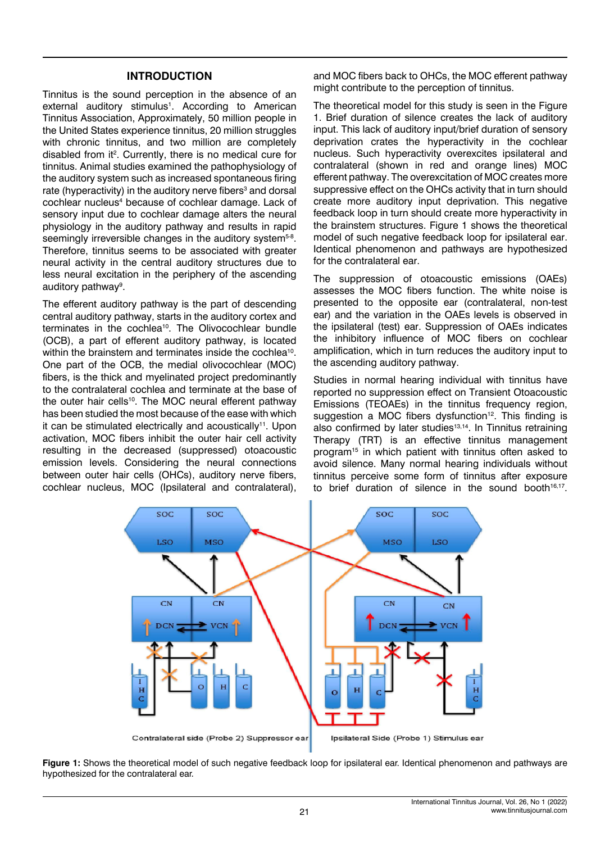#### **INTRODUCTION**

Tinnitus is the sound perception in the absence of an external auditory stimulus<sup>1</sup>. According to American Tinnitus Association, Approximately, 50 million people in the United States experience tinnitus, 20 million struggles with chronic tinnitus, and two million are completely disabled from it<sup>2</sup>. Currently, there is no medical cure for tinnitus. Animal studies examined the pathophysiology of the auditory system such as increased spontaneous firing rate (hyperactivity) in the auditory nerve fibers<sup>3</sup> and dorsal cochlear nucleus<sup>4</sup> because of cochlear damage. Lack of sensory input due to cochlear damage alters the neural physiology in the auditory pathway and results in rapid seemingly irreversible changes in the auditory system<sup>5-8</sup>. Therefore, tinnitus seems to be associated with greater neural activity in the central auditory structures due to less neural excitation in the periphery of the ascending auditory pathway<sup>9</sup>.

The efferent auditory pathway is the part of descending central auditory pathway, starts in the auditory cortex and terminates in the cochlea<sup>10</sup>. The Olivocochlear bundle (OCB), a part of efferent auditory pathway, is located within the brainstem and terminates inside the cochlea<sup>10</sup>. One part of the OCB, the medial olivocochlear (MOC) fibers, is the thick and myelinated project predominantly to the contralateral cochlea and terminate at the base of the outer hair cells<sup>10</sup>. The MOC neural efferent pathway has been studied the most because of the ease with which it can be stimulated electrically and acoustically<sup>11</sup>. Upon activation, MOC fibers inhibit the outer hair cell activity resulting in the decreased (suppressed) otoacoustic emission levels. Considering the neural connections between outer hair cells (OHCs), auditory nerve fibers, cochlear nucleus, MOC (Ipsilateral and contralateral), and MOC fibers back to OHCs, the MOC efferent pathway might contribute to the perception of tinnitus.

The theoretical model for this study is seen in the Figure 1. Brief duration of silence creates the lack of auditory input. This lack of auditory input/brief duration of sensory deprivation crates the hyperactivity in the cochlear nucleus. Such hyperactivity overexcites ipsilateral and contralateral (shown in red and orange lines) MOC efferent pathway. The overexcitation of MOC creates more suppressive effect on the OHCs activity that in turn should create more auditory input deprivation. This negative feedback loop in turn should create more hyperactivity in the brainstem structures. Figure 1 shows the theoretical model of such negative feedback loop for ipsilateral ear. Identical phenomenon and pathways are hypothesized for the contralateral ear.

The suppression of otoacoustic emissions (OAEs) assesses the MOC fibers function. The white noise is presented to the opposite ear (contralateral, non-test ear) and the variation in the OAEs levels is observed in the ipsilateral (test) ear. Suppression of OAEs indicates the inhibitory influence of MOC fibers on cochlear amplification, which in turn reduces the auditory input to the ascending auditory pathway.

Studies in normal hearing individual with tinnitus have reported no suppression effect on Transient Otoacoustic Emissions (TEOAEs) in the tinnitus frequency region, suggestion a MOC fibers dysfunction<sup>12</sup>. This finding is also confirmed by later studies<sup>13,14</sup>. In Tinnitus retraining Therapy (TRT) is an effective tinnitus management program15 in which patient with tinnitus often asked to avoid silence. Many normal hearing individuals without tinnitus perceive some form of tinnitus after exposure to brief duration of silence in the sound booth $16,17$ .



**Figure 1:** Shows the theoretical model of such negative feedback loop for ipsilateral ear. Identical phenomenon and pathways are hypothesized for the contralateral ear.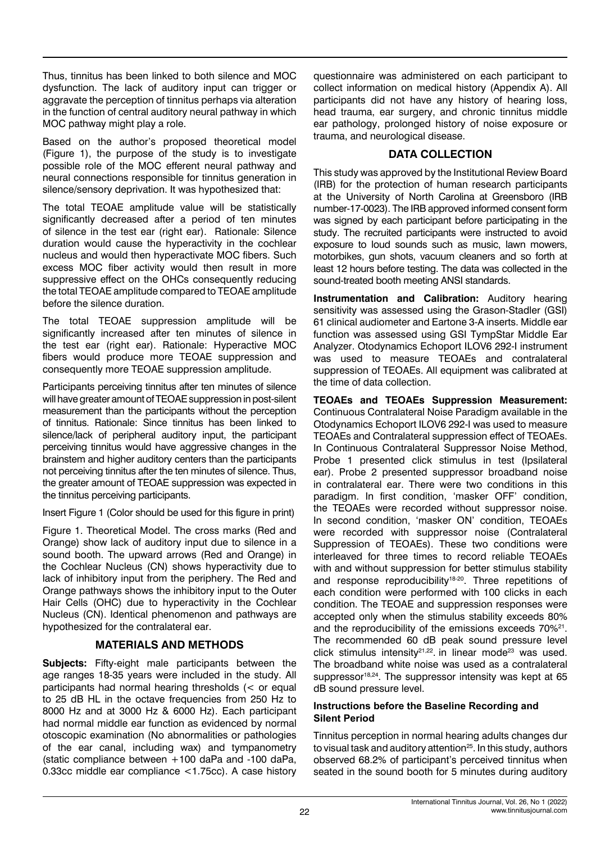Thus, tinnitus has been linked to both silence and MOC dysfunction. The lack of auditory input can trigger or aggravate the perception of tinnitus perhaps via alteration in the function of central auditory neural pathway in which MOC pathway might play a role.

Based on the author's proposed theoretical model (Figure 1), the purpose of the study is to investigate possible role of the MOC efferent neural pathway and neural connections responsible for tinnitus generation in silence/sensory deprivation. It was hypothesized that:

The total TEOAE amplitude value will be statistically significantly decreased after a period of ten minutes of silence in the test ear (right ear). Rationale: Silence duration would cause the hyperactivity in the cochlear nucleus and would then hyperactivate MOC fibers. Such excess MOC fiber activity would then result in more suppressive effect on the OHCs consequently reducing the total TEOAE amplitude compared to TEOAE amplitude before the silence duration.

The total TEOAE suppression amplitude will be significantly increased after ten minutes of silence in the test ear (right ear). Rationale: Hyperactive MOC fibers would produce more TEOAE suppression and consequently more TEOAE suppression amplitude.

Participants perceiving tinnitus after ten minutes of silence will have greater amount of TEOAE suppression in post-silent measurement than the participants without the perception of tinnitus. Rationale: Since tinnitus has been linked to silence/lack of peripheral auditory input, the participant perceiving tinnitus would have aggressive changes in the brainstem and higher auditory centers than the participants not perceiving tinnitus after the ten minutes of silence. Thus, the greater amount of TEOAE suppression was expected in the tinnitus perceiving participants.

Insert Figure 1 (Color should be used for this figure in print)

Figure 1. Theoretical Model. The cross marks (Red and Orange) show lack of auditory input due to silence in a sound booth. The upward arrows (Red and Orange) in the Cochlear Nucleus (CN) shows hyperactivity due to lack of inhibitory input from the periphery. The Red and Orange pathways shows the inhibitory input to the Outer Hair Cells (OHC) due to hyperactivity in the Cochlear Nucleus (CN). Identical phenomenon and pathways are hypothesized for the contralateral ear.

# **MATERIALS AND METHODS**

**Subjects:** Fifty-eight male participants between the age ranges 18-35 years were included in the study. All participants had normal hearing thresholds (< or equal to 25 dB HL in the octave frequencies from 250 Hz to 8000 Hz and at 3000 Hz & 6000 Hz). Each participant had normal middle ear function as evidenced by normal otoscopic examination (No abnormalities or pathologies of the ear canal, including wax) and tympanometry (static compliance between +100 daPa and -100 daPa, 0.33cc middle ear compliance <1.75cc). A case history questionnaire was administered on each participant to collect information on medical history (Appendix A). All participants did not have any history of hearing loss, head trauma, ear surgery, and chronic tinnitus middle ear pathology, prolonged history of noise exposure or trauma, and neurological disease.

# **DATA COLLECTION**

This study was approved by the Institutional Review Board (IRB) for the protection of human research participants at the University of North Carolina at Greensboro (IRB number-17-0023). The IRB approved informed consent form was signed by each participant before participating in the study. The recruited participants were instructed to avoid exposure to loud sounds such as music, lawn mowers, motorbikes, gun shots, vacuum cleaners and so forth at least 12 hours before testing. The data was collected in the sound-treated booth meeting ANSI standards.

**Instrumentation and Calibration:** Auditory hearing sensitivity was assessed using the Grason-Stadler (GSI) 61 clinical audiometer and Eartone 3-A inserts. Middle ear function was assessed using GSI TympStar Middle Ear Analyzer. Otodynamics Echoport ILOV6 292-I instrument was used to measure TEOAEs and contralateral suppression of TEOAEs. All equipment was calibrated at the time of data collection.

**TEOAEs and TEOAEs Suppression Measurement:**  Continuous Contralateral Noise Paradigm available in the Otodynamics Echoport ILOV6 292-I was used to measure TEOAEs and Contralateral suppression effect of TEOAEs. In Continuous Contralateral Suppressor Noise Method, Probe 1 presented click stimulus in test (Ipsilateral ear). Probe 2 presented suppressor broadband noise in contralateral ear. There were two conditions in this paradigm. In first condition, 'masker OFF' condition, the TEOAEs were recorded without suppressor noise. In second condition, 'masker ON' condition, TEOAEs were recorded with suppressor noise (Contralateral Suppression of TEOAEs). These two conditions were interleaved for three times to record reliable TEOAEs with and without suppression for better stimulus stability and response reproducibility<sup>18-20</sup>. Three repetitions of each condition were performed with 100 clicks in each condition. The TEOAE and suppression responses were accepted only when the stimulus stability exceeds 80% and the reproducibility of the emissions exceeds 70%<sup>21</sup>. The recommended 60 dB peak sound pressure level click stimulus intensity<sup>21,22</sup> in linear mode<sup>23</sup> was used. The broadband white noise was used as a contralateral suppressor<sup>18,24</sup>. The suppressor intensity was kept at 65 dB sound pressure level.

# **Instructions before the Baseline Recording and Silent Period**

Tinnitus perception in normal hearing adults changes dur to visual task and auditory attention<sup>25</sup>. In this study, authors observed 68.2% of participant's perceived tinnitus when seated in the sound booth for 5 minutes during auditory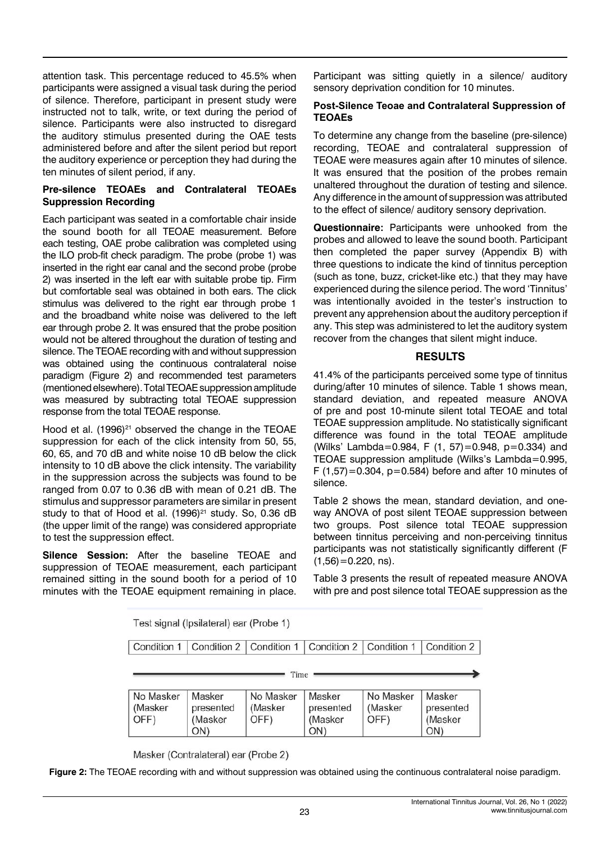attention task. This percentage reduced to 45.5% when participants were assigned a visual task during the period of silence. Therefore, participant in present study were instructed not to talk, write, or text during the period of silence. Participants were also instructed to disregard the auditory stimulus presented during the OAE tests administered before and after the silent period but report the auditory experience or perception they had during the ten minutes of silent period, if any.

## **Pre-silence TEOAEs and Contralateral TEOAEs Suppression Recording**

Each participant was seated in a comfortable chair inside the sound booth for all TEOAE measurement. Before each testing, OAE probe calibration was completed using the ILO prob-fit check paradigm. The probe (probe 1) was inserted in the right ear canal and the second probe (probe 2) was inserted in the left ear with suitable probe tip. Firm but comfortable seal was obtained in both ears. The click stimulus was delivered to the right ear through probe 1 and the broadband white noise was delivered to the left ear through probe 2. It was ensured that the probe position would not be altered throughout the duration of testing and silence. The TEOAE recording with and without suppression was obtained using the continuous contralateral noise paradigm (Figure 2) and recommended test parameters (mentioned elsewhere). Total TEOAE suppression amplitude was measured by subtracting total TEOAE suppression response from the total TEOAE response.

Hood et al.  $(1996)^{21}$  observed the change in the TEOAE suppression for each of the click intensity from 50, 55, 60, 65, and 70 dB and white noise 10 dB below the click intensity to 10 dB above the click intensity. The variability in the suppression across the subjects was found to be ranged from 0.07 to 0.36 dB with mean of 0.21 dB. The stimulus and suppressor parameters are similar in present study to that of Hood et al.  $(1996)^{21}$  study. So, 0.36 dB (the upper limit of the range) was considered appropriate to test the suppression effect.

**Silence Session:** After the baseline TEOAE and suppression of TEOAE measurement, each participant remained sitting in the sound booth for a period of 10 minutes with the TEOAE equipment remaining in place. Participant was sitting quietly in a silence/ auditory sensory deprivation condition for 10 minutes.

#### **Post-Silence Teoae and Contralateral Suppression of TEOAEs**

To determine any change from the baseline (pre-silence) recording, TEOAE and contralateral suppression of TEOAE were measures again after 10 minutes of silence. It was ensured that the position of the probes remain unaltered throughout the duration of testing and silence. Any difference in the amount of suppression was attributed to the effect of silence/ auditory sensory deprivation.

**Questionnaire:** Participants were unhooked from the probes and allowed to leave the sound booth. Participant then completed the paper survey (Appendix B) with three questions to indicate the kind of tinnitus perception (such as tone, buzz, cricket-like etc.) that they may have experienced during the silence period. The word 'Tinnitus' was intentionally avoided in the tester's instruction to prevent any apprehension about the auditory perception if any. This step was administered to let the auditory system recover from the changes that silent might induce.

## **RESULTS**

41.4% of the participants perceived some type of tinnitus during/after 10 minutes of silence. Table 1 shows mean, standard deviation, and repeated measure ANOVA of pre and post 10-minute silent total TEOAE and total TEOAE suppression amplitude. No statistically significant difference was found in the total TEOAE amplitude (Wilks' Lambda=0.984, F (1, 57)=0.948, p=0.334) and TEOAE suppression amplitude (Wilks's Lambda=0.995, F  $(1,57)$ =0.304, p=0.584) before and after 10 minutes of silence.

Table 2 shows the mean, standard deviation, and oneway ANOVA of post silent TEOAE suppression between two groups. Post silence total TEOAE suppression between tinnitus perceiving and non-perceiving tinnitus participants was not statistically significantly different (F  $(1,56) = 0.220$ , ns).

Table 3 presents the result of repeated measure ANOVA with pre and post silence total TEOAE suppression as the

Test signal (Ipsilateral) ear (Probe 1)

| Condition 1   Condition 2   Condition 1   Condition 2   Condition 1   Condition 2 |  |  |  |
|-----------------------------------------------------------------------------------|--|--|--|
|                                                                                   |  |  |  |

Time

| .                            |                                       |                              |                                       |                              |                                       |  |  |
|------------------------------|---------------------------------------|------------------------------|---------------------------------------|------------------------------|---------------------------------------|--|--|
| No Masker<br>(Masker<br>OFF) | Masker<br>presented<br>(Masker<br>ON) | No Masker<br>(Masker<br>OFF) | Masker<br>presented<br>(Masker<br>ON) | No Masker<br>(Masker<br>OFF) | Masker<br>presented<br>(Masker<br>ON) |  |  |

Masker (Contralateral) ear (Probe 2)

**Figure 2:** The TEOAE recording with and without suppression was obtained using the continuous contralateral noise paradigm.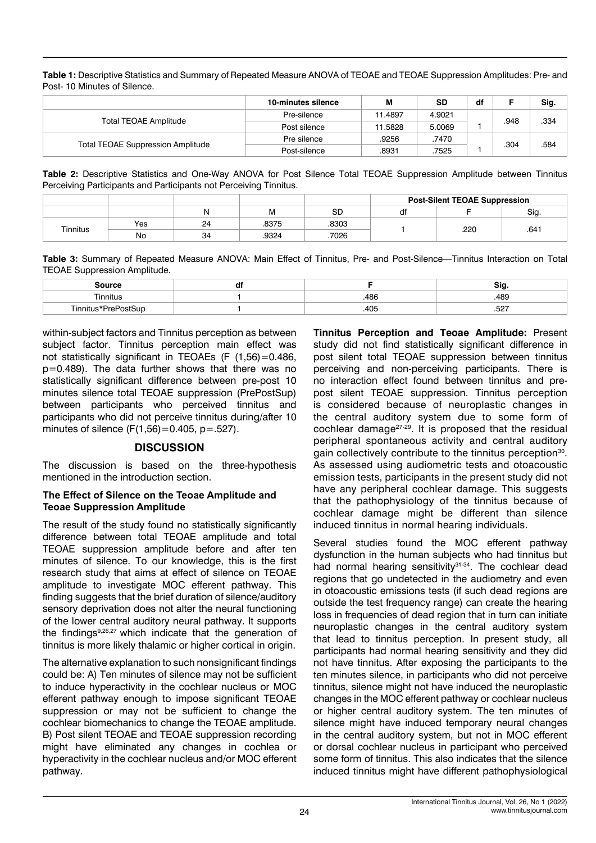**Table 1:** Descriptive Statistics and Summary of Repeated Measure ANOVA of TEOAE and TEOAE Suppression Amplitudes: Pre- and Post- 10 Minutes of Silence.

|                                          | 10-minutes silence | M       | <b>SD</b> | df |      | Sig. |
|------------------------------------------|--------------------|---------|-----------|----|------|------|
|                                          | Pre-silence        | 11.4897 | 4.9021    |    |      | .334 |
| <b>Total TEOAE Amplitude</b>             | Post silence       | 11.5828 | 5.0069    |    | .948 |      |
|                                          | Pre silence        | .9256   | .7470     |    | .304 |      |
| <b>Total TEOAE Suppression Amplitude</b> | Post-silence       | .8931   | .7525     |    |      | .584 |

**Table 2:** Descriptive Statistics and One-Way ANOVA for Post Silence Total TEOAE Suppression Amplitude between Tinnitus Perceiving Participants and Participants not Perceiving Tinnitus.

|          |     |    |       |       | <b>Post-Silent TEOAE Suppression</b> |      |      |
|----------|-----|----|-------|-------|--------------------------------------|------|------|
|          |     | N  | M     | SD    |                                      |      | Sig. |
| Tinnitus | Yes | 24 | .8375 | .8303 |                                      | .220 | .641 |
|          | No  | 34 | .9324 | .7026 |                                      |      |      |

**Table 3:** Summary of Repeated Measure ANOVA: Main Effect of Tinnitus, Pre- and Post-Silence—Tinnitus Interaction on Total TEOAE Suppression Amplitude.

| : 11700                       | uı |      | ခ၊င      |
|-------------------------------|----|------|----------|
| l innitus                     |    | .486 | 489      |
| Tinniti.<br>i ic*PraPnetSi in |    | .405 | EOT.<br> |

within-subject factors and Tinnitus perception as between subject factor. Tinnitus perception main effect was not statistically significant in TEOAEs (F (1,56)=0.486, p=0.489). The data further shows that there was no statistically significant difference between pre-post 10 minutes silence total TEOAE suppression (PrePostSup) between participants who perceived tinnitus and participants who did not perceive tinnitus during/after 10 minutes of silence  $(F(1,56)=0.405, p=.527)$ .

#### **DISCUSSION**

The discussion is based on the three-hypothesis mentioned in the introduction section.

#### **The Effect of Silence on the Teoae Amplitude and Teoae Suppression Amplitude**

The result of the study found no statistically significantly difference between total TEOAE amplitude and total TEOAE suppression amplitude before and after ten minutes of silence. To our knowledge, this is the first research study that aims at effect of silence on TEOAE amplitude to investigate MOC efferent pathway. This finding suggests that the brief duration of silence/auditory sensory deprivation does not alter the neural functioning of the lower central auditory neural pathway. It supports the findings9,26,27 which indicate that the generation of tinnitus is more likely thalamic or higher cortical in origin.

The alternative explanation to such nonsignificant findings could be: A) Ten minutes of silence may not be sufficient to induce hyperactivity in the cochlear nucleus or MOC efferent pathway enough to impose significant TEOAE suppression or may not be sufficient to change the cochlear biomechanics to change the TEOAE amplitude. B) Post silent TEOAE and TEOAE suppression recording might have eliminated any changes in cochlea or hyperactivity in the cochlear nucleus and/or MOC efferent pathway.

**Tinnitus Perception and Teoae Amplitude:** Present study did not find statistically significant difference in post silent total TEOAE suppression between tinnitus perceiving and non-perceiving participants. There is no interaction effect found between tinnitus and prepost silent TEOAE suppression. Tinnitus perception is considered because of neuroplastic changes in the central auditory system due to some form of cochlear damage<sup> $27-29$ </sup>. It is proposed that the residual peripheral spontaneous activity and central auditory gain collectively contribute to the tinnitus perception<sup>30</sup>. As assessed using audiometric tests and otoacoustic emission tests, participants in the present study did not have any peripheral cochlear damage. This suggests that the pathophysiology of the tinnitus because of cochlear damage might be different than silence induced tinnitus in normal hearing individuals.

Several studies found the MOC efferent pathway dysfunction in the human subjects who had tinnitus but had normal hearing sensitivity<sup>31-34</sup>. The cochlear dead regions that go undetected in the audiometry and even in otoacoustic emissions tests (if such dead regions are outside the test frequency range) can create the hearing loss in frequencies of dead region that in turn can initiate neuroplastic changes in the central auditory system that lead to tinnitus perception. In present study, all participants had normal hearing sensitivity and they did not have tinnitus. After exposing the participants to the ten minutes silence, in participants who did not perceive tinnitus, silence might not have induced the neuroplastic changes in the MOC efferent pathway or cochlear nucleus or higher central auditory system. The ten minutes of silence might have induced temporary neural changes in the central auditory system, but not in MOC efferent or dorsal cochlear nucleus in participant who perceived some form of tinnitus. This also indicates that the silence induced tinnitus might have different pathophysiological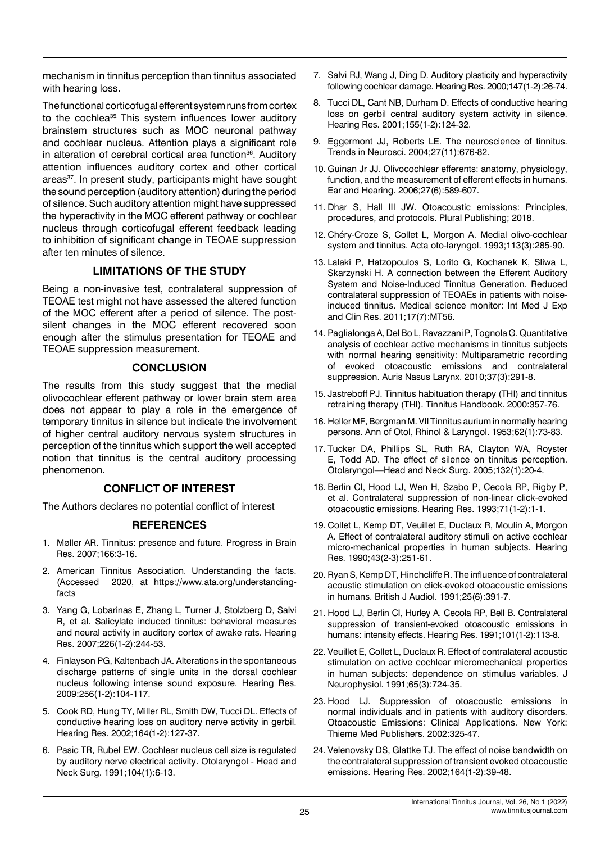mechanism in tinnitus perception than tinnitus associated with hearing loss.

The functional corticofugal efferent system runs from cortex to the cochlea<sup>35.</sup> This system influences lower auditory brainstem structures such as MOC neuronal pathway and cochlear nucleus. Attention plays a significant role in alteration of cerebral cortical area function<sup>36</sup>. Auditory attention influences auditory cortex and other cortical areas<sup>37</sup>. In present study, participants might have sought the sound perception (auditory attention) during the period of silence. Such auditory attention might have suppressed the hyperactivity in the MOC efferent pathway or cochlear nucleus through corticofugal efferent feedback leading to inhibition of significant change in TEOAE suppression after ten minutes of silence.

## **LIMITATIONS OF THE STUDY**

Being a non-invasive test, contralateral suppression of TEOAE test might not have assessed the altered function of the MOC efferent after a period of silence. The postsilent changes in the MOC efferent recovered soon enough after the stimulus presentation for TEOAE and TEOAE suppression measurement.

#### **CONCLUSION**

The results from this study suggest that the medial olivocochlear efferent pathway or lower brain stem area does not appear to play a role in the emergence of temporary tinnitus in silence but indicate the involvement of higher central auditory nervous system structures in perception of the tinnitus which support the well accepted notion that tinnitus is the central auditory processing phenomenon.

## **CONFLICT OF INTEREST**

The Authors declares no potential conflict of interest

## **REFERENCES**

- 1. Møller AR. [Tinnitus: presence and future.](https://www.sciencedirect.com/science/article/abs/pii/S0079612307660014) Progress in Brain Res. 2007;166:3-16.
- 2. American Tinnitus Association. Understanding the facts. (Accessed 2020, at [https://www.ata.org/understanding](https://www.ata.org/understanding-facts)[facts](https://www.ata.org/understanding-facts)
- 3. Yang G, Lobarinas E, Zhang L, Turner J, Stolzberg D, Salvi R, et al. [Salicylate induced tinnitus: behavioral measures](https://www.sciencedirect.com/science/article/abs/pii/S037859550600164X) [and neural activity in auditory cortex of awake rats](https://www.sciencedirect.com/science/article/abs/pii/S037859550600164X). Hearing Res. 2007;226(1-2):244-53.
- 4. Finlayson PG, Kaltenbach JA. [Alterations in the spontaneous](https://www.sciencedirect.com/science/article/abs/pii/S0378595509001786) [discharge patterns of single units in the dorsal cochlear](https://www.sciencedirect.com/science/article/abs/pii/S0378595509001786) [nucleus following intense sound exposure.](https://www.sciencedirect.com/science/article/abs/pii/S0378595509001786) Hearing Res. 2009:256(1-2):104-117.
- 5. Cook RD, Hung TY, Miller RL, Smith DW, Tucci DL. [Effects of](https://www.sciencedirect.com/science/article/abs/pii/S0378595501004245) [conductive hearing loss on auditory nerve activity in gerbil.](https://www.sciencedirect.com/science/article/abs/pii/S0378595501004245) Hearing Res. 2002;164(1-2):127-37.
- 6. Pasic TR, Rubel EW. [Cochlear nucleus cell size is regulated](https://journals.sagepub.com/doi/abs/10.1177/019459989110400103) [by auditory nerve electrical activity.](https://journals.sagepub.com/doi/abs/10.1177/019459989110400103) Otolaryngol - Head and Neck Surg. 1991;104(1):6-13.
- 7. Salvi RJ, Wang J, Ding D. [Auditory plasticity and hyperactivity](https://www.sciencedirect.com/science/article/abs/pii/S0378595500001362)  [following cochlear damage.](https://www.sciencedirect.com/science/article/abs/pii/S0378595500001362) Hearing Res. 2000;147(1-2):26-74.
- 8. Tucci DL, Cant NB, Durham D. [Effects of conductive hearing](https://www.sciencedirect.com/science/article/abs/pii/S0378595501002568)  [loss on gerbil central auditory system activity in silence](https://www.sciencedirect.com/science/article/abs/pii/S0378595501002568). Hearing Res. 2001;155(1-2):124-32.
- 9. Eggermont JJ, Roberts LE. [The neuroscience of tinnitus](https://www.sciencedirect.com/science/article/abs/pii/S0166223604002760). Trends in Neurosci. 2004;27(11):676-82.
- 10. Guinan Jr JJ. [Olivocochlear efferents: anatomy, physiology,](https://journals.lww.com/ear-hearing/fulltext/2006/12000/Olivocochlear_Efferents__Anatomy,_Physiology,.1.aspx)  [function, and the measurement of efferent effects in humans](https://journals.lww.com/ear-hearing/fulltext/2006/12000/Olivocochlear_Efferents__Anatomy,_Physiology,.1.aspx). Ear and Hearing. 2006;27(6):589-607.
- 11. Dhar S, Hall III JW. Otoacoustic emissions: Principles, procedures, and protocols. Plural Publishing; 2018.
- 12. Chéry-Croze S, Collet L, Morgon A. [Medial olivo-cochlear](https://www.tandfonline.com/doi/abs/10.3109/00016489309135810)  [system and tinnitus](https://www.tandfonline.com/doi/abs/10.3109/00016489309135810). Acta oto-laryngol. 1993;113(3):285-90.
- 13. Lalaki P, Hatzopoulos S, Lorito G, Kochanek K, Sliwa L, Skarzynski H. A connection between the Efferent Auditory System and Noise-Induced Tinnitus Generation. Reduced contralateral suppression of TEOAEs in patients with noiseinduced tinnitus. Medical science monitor: Int Med J Exp and Clin Res. 2011;17(7):MT56.
- 14. Paglialonga A, Del Bo L, Ravazzani P, Tognola G. [Quantitative](https://www.sciencedirect.com/science/article/abs/pii/S0385814609002077)  [analysis of cochlear active mechanisms in tinnitus subjects](https://www.sciencedirect.com/science/article/abs/pii/S0385814609002077)  [with normal hearing sensitivity: Multiparametric recording](https://www.sciencedirect.com/science/article/abs/pii/S0385814609002077)  [of evoked otoacoustic emissions and contralateral](https://www.sciencedirect.com/science/article/abs/pii/S0385814609002077)  [suppression.](https://www.sciencedirect.com/science/article/abs/pii/S0385814609002077) Auris Nasus Larynx. 2010;37(3):291-8.
- 15. Jastreboff PJ. [Tinnitus habituation therapy \(THI\) and tinnitus](https://ci.nii.ac.jp/naid/10008575151/)  [retraining therapy \(THI\).](https://ci.nii.ac.jp/naid/10008575151/) Tinnitus Handbook. 2000:357-76.
- 16. Heller MF, Bergman M. [VII Tinnitus aurium in normally hearing](https://journals.sagepub.com/doi/abs/10.1177/000348945306200107?journalCode=aora)  [persons.](https://journals.sagepub.com/doi/abs/10.1177/000348945306200107?journalCode=aora) Ann of Otol, Rhinol & Laryngol. 1953;62(1):73-83.
- 17. Tucker DA, Phillips SL, Ruth RA, Clayton WA, Royster E, Todd AD. [The effect of silence on tinnitus perception.](https://journals.sagepub.com/doi/abs/10.1016/j.otohns.2005.08.016) Otolaryngol—Head and Neck Surg. 2005;132(1):20-4.
- 18. Berlin CI, Hood LJ, Wen H, Szabo P, Cecola RP, Rigby P, et al. [Contralateral suppression of non-linear click-evoked](https://www.sciencedirect.com/science/article/abs/pii/037859559390015S)  [otoacoustic emissions.](https://www.sciencedirect.com/science/article/abs/pii/037859559390015S) Hearing Res. 1993;71(1-2):1-1.
- 19. Collet L, Kemp DT, Veuillet E, Duclaux R, Moulin A, Morgon A. [Effect of contralateral auditory stimuli on active cochlear](https://www.sciencedirect.com/science/article/abs/pii/037859559090232E)  [micro-mechanical properties in human subjects.](https://www.sciencedirect.com/science/article/abs/pii/037859559090232E) Hearing Res. 1990;43(2-3):251-61.
- 20. Ryan S, Kemp DT, Hinchcliffe R. [The influence of contralateral](https://www.tandfonline.com/doi/abs/10.3109/03005369109076614)  [acoustic stimulation on click-evoked otoacoustic emissions](https://www.tandfonline.com/doi/abs/10.3109/03005369109076614)  [in humans](https://www.tandfonline.com/doi/abs/10.3109/03005369109076614). British J Audiol. 1991;25(6):391-7.
- 21. Hood LJ, Berlin CI, Hurley A, Cecola RP, Bell B. [Contralateral](https://www.sciencedirect.com/science/article/abs/pii/S0378595596001384)  [suppression of transient-evoked otoacoustic emissions in](https://www.sciencedirect.com/science/article/abs/pii/S0378595596001384)  [humans: intensity effects](https://www.sciencedirect.com/science/article/abs/pii/S0378595596001384). Hearing Res. 1991;101(1-2):113-8.
- 22. Veuillet E, Collet L, Duclaux R. [Effect of contralateral acoustic](https://journals.physiology.org/doi/abs/10.1152/jn.1991.65.3.724)  [stimulation on active cochlear micromechanical properties](https://journals.physiology.org/doi/abs/10.1152/jn.1991.65.3.724)  [in human subjects: dependence on stimulus variables.](https://journals.physiology.org/doi/abs/10.1152/jn.1991.65.3.724) J Neurophysiol. 1991;65(3):724-35.
- 23. Hood LJ. [Suppression of otoacoustic emissions in](https://www.intechopen.com/chapters/54068)  [normal individuals and in patients with auditory disorders.](https://www.intechopen.com/chapters/54068)  [Otoacoustic Emissions: Clinical Applications.](https://www.intechopen.com/chapters/54068) New York: Thieme Med Publishers. 2002:325-47.
- 24. Velenovsky DS, Glattke TJ. [The effect of noise bandwidth on](https://www.sciencedirect.com/science/article/abs/pii/S0378595501003938)  [the contralateral suppression of transient evoked otoacoustic](https://www.sciencedirect.com/science/article/abs/pii/S0378595501003938)  [emissions.](https://www.sciencedirect.com/science/article/abs/pii/S0378595501003938) Hearing Res. 2002;164(1-2):39-48.